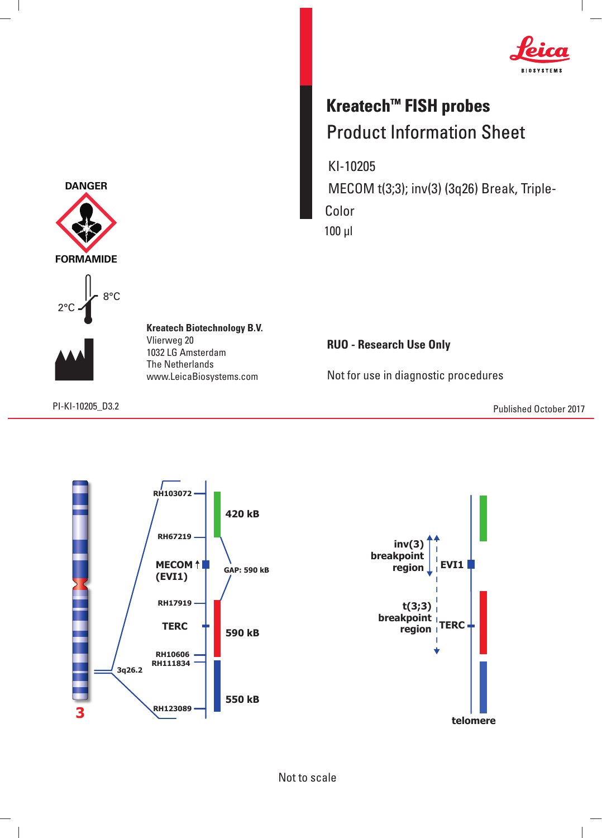

## **Kreatech™ FISH probes** Product Information Sheet

 KI-10205 MECOM t(3;3); inv(3) (3q26) Break, Triple- Color 100 μl

**RUO - Research Use Only**

Not for use in diagnostic procedures

PI-KI-10205\_D3. Published October 2017 2





8°C



 $\overline{\phantom{a}}$ 

Vlierweg 20 1032 LG Amsterdam The Netherlands www.LeicaBiosystems.com

**Kreatech Biotechnology B.V.**

Not to scale